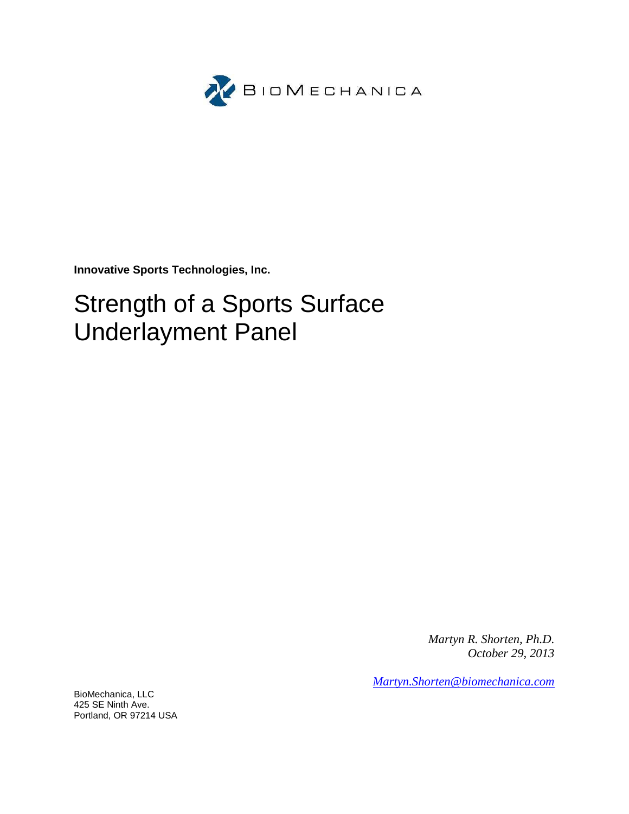

**Innovative Sports Technologies, Inc.**

# Strength of a Sports Surface Underlayment Panel

*Martyn R. Shorten, Ph.D. October 29, 2013*

*Martyn.Shorten@biomechanica.com*

BioMechanica, LLC 425 SE Ninth Ave. Portland, OR 97214 USA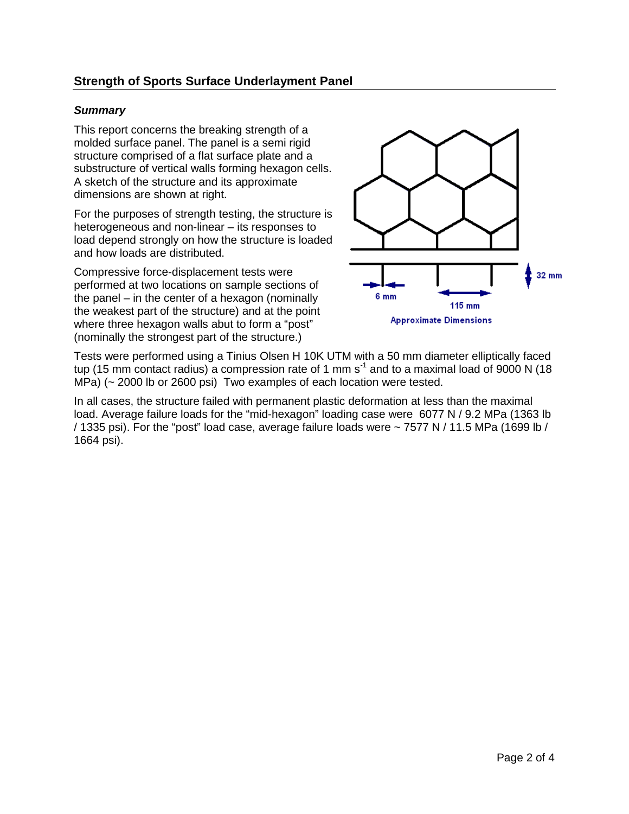## **Strength of Sports Surface Underlayment Panel**

#### *Summary*

This report concerns the breaking strength of a molded surface panel. The panel is a semi rigid structure comprised of a flat surface plate and a substructure of vertical walls forming hexagon cells. A sketch of the structure and its approximate dimensions are shown at right.

For the purposes of strength testing, the structure is heterogeneous and non-linear – its responses to load depend strongly on how the structure is loaded and how loads are distributed.

Compressive force-displacement tests were performed at two locations on sample sections of the panel – in the center of a hexagon (nominally the weakest part of the structure) and at the point where three hexagon walls abut to form a "post" (nominally the strongest part of the structure.)



Tests were performed using a Tinius Olsen H 10K UTM with a 50 mm diameter elliptically faced tup (15 mm contact radius) a compression rate of 1 mm s<sup>-1</sup> and to a maximal load of 9000 N (18 MPa) (~ 2000 lb or 2600 psi) Two examples of each location were tested.

In all cases, the structure failed with permanent plastic deformation at less than the maximal load. Average failure loads for the "mid-hexagon" loading case were 6077 N / 9.2 MPa (1363 lb / 1335 psi). For the "post" load case, average failure loads were ~ 7577 N / 11.5 MPa (1699 lb / 1664 psi).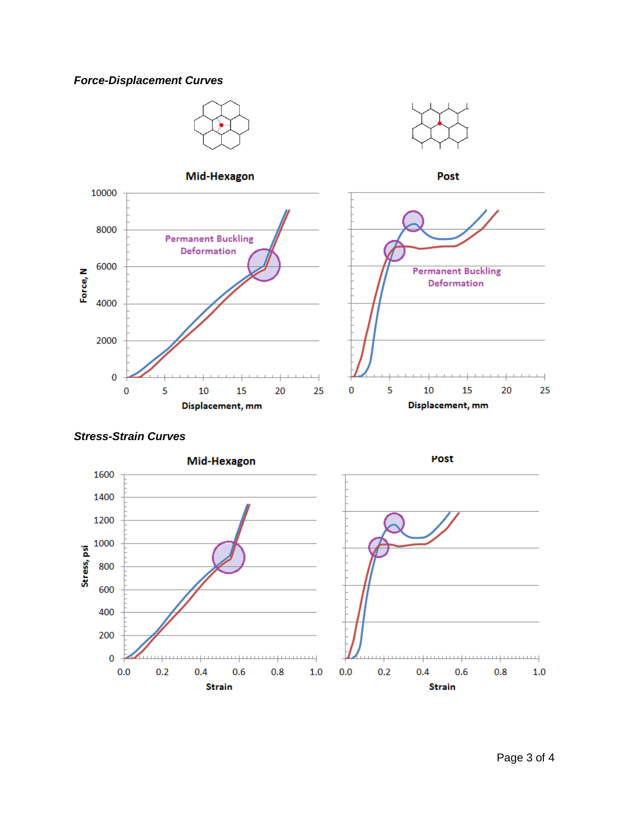## *Force-Displacement Curves*



#### *Stress-Strain Curves*